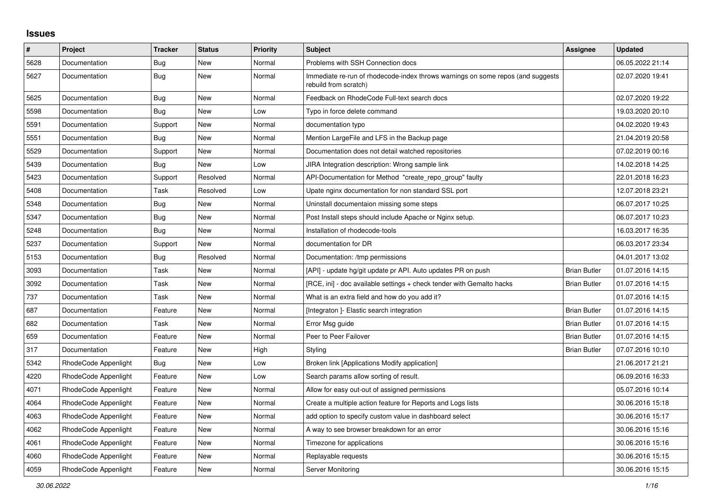## **Issues**

| $\sharp$ | <b>Project</b>       | <b>Tracker</b> | <b>Status</b> | <b>Priority</b> | <b>Subject</b>                                                                                           | Assignee            | <b>Updated</b>   |
|----------|----------------------|----------------|---------------|-----------------|----------------------------------------------------------------------------------------------------------|---------------------|------------------|
| 5628     | Documentation        | Bug            | <b>New</b>    | Normal          | Problems with SSH Connection docs                                                                        |                     | 06.05.2022 21:14 |
| 5627     | Documentation        | Bug            | New           | Normal          | Immediate re-run of rhodecode-index throws warnings on some repos (and suggests<br>rebuild from scratch) |                     | 02.07.2020 19:41 |
| 5625     | Documentation        | Bug            | New           | Normal          | Feedback on RhodeCode Full-text search docs                                                              |                     | 02.07.2020 19:22 |
| 5598     | Documentation        | Bug            | New           | Low             | Typo in force delete command                                                                             |                     | 19.03.2020 20:10 |
| 5591     | Documentation        | Support        | New           | Normal          | documentation typo                                                                                       |                     | 04.02.2020 19:43 |
| 5551     | Documentation        | Bug            | New           | Normal          | Mention LargeFile and LFS in the Backup page                                                             |                     | 21.04.2019 20:58 |
| 5529     | Documentation        | Support        | New           | Normal          | Documentation does not detail watched repositories                                                       |                     | 07.02.2019 00:16 |
| 5439     | Documentation        | <b>Bug</b>     | New           | Low             | JIRA Integration description: Wrong sample link                                                          |                     | 14.02.2018 14:25 |
| 5423     | Documentation        | Support        | Resolved      | Normal          | API-Documentation for Method "create_repo_group" faulty                                                  |                     | 22.01.2018 16:23 |
| 5408     | Documentation        | Task           | Resolved      | Low             | Upate nginx documentation for non standard SSL port                                                      |                     | 12.07.2018 23:21 |
| 5348     | Documentation        | <b>Bug</b>     | <b>New</b>    | Normal          | Uninstall documentaion missing some steps                                                                |                     | 06.07.2017 10:25 |
| 5347     | Documentation        | Bug            | New           | Normal          | Post Install steps should include Apache or Nginx setup.                                                 |                     | 06.07.2017 10:23 |
| 5248     | Documentation        | <b>Bug</b>     | New           | Normal          | Installation of rhodecode-tools                                                                          |                     | 16.03.2017 16:35 |
| 5237     | Documentation        | Support        | New           | Normal          | documentation for DR                                                                                     |                     | 06.03.2017 23:34 |
| 5153     | Documentation        | Bug            | Resolved      | Normal          | Documentation: /tmp permissions                                                                          |                     | 04.01.2017 13:02 |
| 3093     | Documentation        | Task           | <b>New</b>    | Normal          | [API] - update hg/git update pr API. Auto updates PR on push                                             | <b>Brian Butler</b> | 01.07.2016 14:15 |
| 3092     | Documentation        | Task           | New           | Normal          | [RCE, ini] - doc available settings + check tender with Gemalto hacks                                    | <b>Brian Butler</b> | 01.07.2016 14:15 |
| 737      | Documentation        | Task           | New           | Normal          | What is an extra field and how do you add it?                                                            |                     | 01.07.2016 14:15 |
| 687      | Documentation        | Feature        | New           | Normal          | [Integraton] - Elastic search integration                                                                | <b>Brian Butler</b> | 01.07.2016 14:15 |
| 682      | Documentation        | Task           | <b>New</b>    | Normal          | Error Msg guide                                                                                          | <b>Brian Butler</b> | 01.07.2016 14:15 |
| 659      | Documentation        | Feature        | <b>New</b>    | Normal          | Peer to Peer Failover                                                                                    | <b>Brian Butler</b> | 01.07.2016 14:15 |
| 317      | Documentation        | Feature        | New           | High            | Styling                                                                                                  | <b>Brian Butler</b> | 07.07.2016 10:10 |
| 5342     | RhodeCode Appenlight | Bug            | New           | Low             | Broken link [Applications Modify application]                                                            |                     | 21.06.2017 21:21 |
| 4220     | RhodeCode Appenlight | Feature        | New           | Low             | Search params allow sorting of result.                                                                   |                     | 06.09.2016 16:33 |
| 4071     | RhodeCode Appenlight | Feature        | New           | Normal          | Allow for easy out-out of assigned permissions                                                           |                     | 05.07.2016 10:14 |
| 4064     | RhodeCode Appenlight | Feature        | New           | Normal          | Create a multiple action feature for Reports and Logs lists                                              |                     | 30.06.2016 15:18 |
| 4063     | RhodeCode Appenlight | Feature        | New           | Normal          | add option to specify custom value in dashboard select                                                   |                     | 30.06.2016 15:17 |
| 4062     | RhodeCode Appenlight | Feature        | New           | Normal          | A way to see browser breakdown for an error                                                              |                     | 30.06.2016 15:16 |
| 4061     | RhodeCode Appenlight | Feature        | <b>New</b>    | Normal          | Timezone for applications                                                                                |                     | 30.06.2016 15:16 |
| 4060     | RhodeCode Appenlight | Feature        | <b>New</b>    | Normal          | Replayable requests                                                                                      |                     | 30.06.2016 15:15 |
| 4059     | RhodeCode Appenlight | Feature        | New           | Normal          | Server Monitoring                                                                                        |                     | 30.06.2016 15:15 |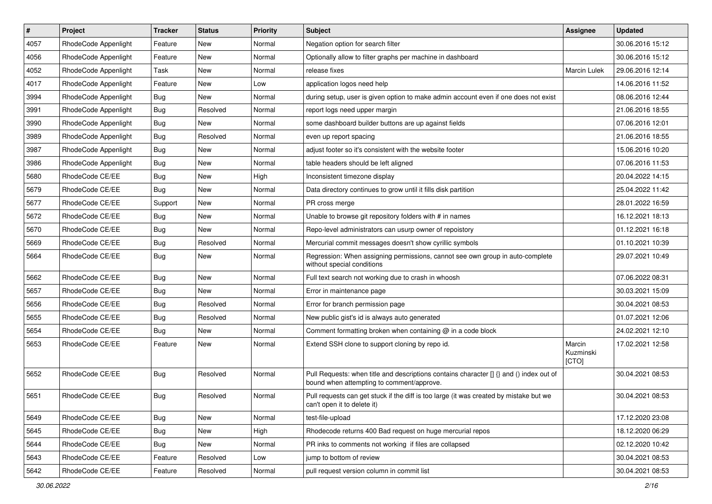| $\pmb{\#}$ | Project              | <b>Tracker</b> | <b>Status</b> | <b>Priority</b> | Subject                                                                                                                              | <b>Assignee</b>              | <b>Updated</b>   |
|------------|----------------------|----------------|---------------|-----------------|--------------------------------------------------------------------------------------------------------------------------------------|------------------------------|------------------|
| 4057       | RhodeCode Appenlight | Feature        | New           | Normal          | Negation option for search filter                                                                                                    |                              | 30.06.2016 15:12 |
| 4056       | RhodeCode Appenlight | Feature        | New           | Normal          | Optionally allow to filter graphs per machine in dashboard                                                                           |                              | 30.06.2016 15:12 |
| 4052       | RhodeCode Appenlight | Task           | New           | Normal          | release fixes                                                                                                                        | <b>Marcin Lulek</b>          | 29.06.2016 12:14 |
| 4017       | RhodeCode Appenlight | Feature        | New           | Low             | application logos need help                                                                                                          |                              | 14.06.2016 11:52 |
| 3994       | RhodeCode Appenlight | <b>Bug</b>     | <b>New</b>    | Normal          | during setup, user is given option to make admin account even if one does not exist                                                  |                              | 08.06.2016 12:44 |
| 3991       | RhodeCode Appenlight | Bug            | Resolved      | Normal          | report logs need upper margin                                                                                                        |                              | 21.06.2016 18:55 |
| 3990       | RhodeCode Appenlight | Bug            | New           | Normal          | some dashboard builder buttons are up against fields                                                                                 |                              | 07.06.2016 12:01 |
| 3989       | RhodeCode Appenlight | Bug            | Resolved      | Normal          | even up report spacing                                                                                                               |                              | 21.06.2016 18:55 |
| 3987       | RhodeCode Appenlight | Bug            | New           | Normal          | adjust footer so it's consistent with the website footer                                                                             |                              | 15.06.2016 10:20 |
| 3986       | RhodeCode Appenlight | Bug            | New           | Normal          | table headers should be left aligned                                                                                                 |                              | 07.06.2016 11:53 |
| 5680       | RhodeCode CE/EE      | Bug            | New           | High            | Inconsistent timezone display                                                                                                        |                              | 20.04.2022 14:15 |
| 5679       | RhodeCode CE/EE      | Bug            | New           | Normal          | Data directory continues to grow until it fills disk partition                                                                       |                              | 25.04.2022 11:42 |
| 5677       | RhodeCode CE/EE      | Support        | New           | Normal          | PR cross merge                                                                                                                       |                              | 28.01.2022 16:59 |
| 5672       | RhodeCode CE/EE      | <b>Bug</b>     | New           | Normal          | Unable to browse git repository folders with # in names                                                                              |                              | 16.12.2021 18:13 |
| 5670       | RhodeCode CE/EE      | <b>Bug</b>     | New           | Normal          | Repo-level administrators can usurp owner of repoistory                                                                              |                              | 01.12.2021 16:18 |
| 5669       | RhodeCode CE/EE      | Bug            | Resolved      | Normal          | Mercurial commit messages doesn't show cyrillic symbols                                                                              |                              | 01.10.2021 10:39 |
| 5664       | RhodeCode CE/EE      | <b>Bug</b>     | New           | Normal          | Regression: When assigning permissions, cannot see own group in auto-complete<br>without special conditions                          |                              | 29.07.2021 10:49 |
| 5662       | RhodeCode CE/EE      | Bug            | New           | Normal          | Full text search not working due to crash in whoosh                                                                                  |                              | 07.06.2022 08:31 |
| 5657       | RhodeCode CE/EE      | Bug            | New           | Normal          | Error in maintenance page                                                                                                            |                              | 30.03.2021 15:09 |
| 5656       | RhodeCode CE/EE      | Bug            | Resolved      | Normal          | Error for branch permission page                                                                                                     |                              | 30.04.2021 08:53 |
| 5655       | RhodeCode CE/EE      | <b>Bug</b>     | Resolved      | Normal          | New public gist's id is always auto generated                                                                                        |                              | 01.07.2021 12:06 |
| 5654       | RhodeCode CE/EE      | <b>Bug</b>     | New           | Normal          | Comment formatting broken when containing @ in a code block                                                                          |                              | 24.02.2021 12:10 |
| 5653       | RhodeCode CE/EE      | Feature        | New           | Normal          | Extend SSH clone to support cloning by repo id.                                                                                      | Marcin<br>Kuzminski<br>[CTO] | 17.02.2021 12:58 |
| 5652       | RhodeCode CE/EE      | Bug            | Resolved      | Normal          | Pull Requests: when title and descriptions contains character [] {} and () index out of<br>bound when attempting to comment/approve. |                              | 30.04.2021 08:53 |
| 5651       | RhodeCode CE/EE      | Bug            | Resolved      | Normal          | Pull requests can get stuck if the diff is too large (it was created by mistake but we<br>can't open it to delete it)                |                              | 30.04.2021 08:53 |
| 5649       | RhodeCode CE/EE      | Bug            | <b>New</b>    | Normal          | test-file-upload                                                                                                                     |                              | 17.12.2020 23:08 |
| 5645       | RhodeCode CE/EE      | Bug            | New           | High            | Rhodecode returns 400 Bad request on huge mercurial repos                                                                            |                              | 18.12.2020 06:29 |
| 5644       | RhodeCode CE/EE      | Bug            | New           | Normal          | PR inks to comments not working if files are collapsed                                                                               |                              | 02.12.2020 10:42 |
| 5643       | RhodeCode CE/EE      | Feature        | Resolved      | Low             | jump to bottom of review                                                                                                             |                              | 30.04.2021 08:53 |
| 5642       | RhodeCode CE/EE      | Feature        | Resolved      | Normal          | pull request version column in commit list                                                                                           |                              | 30.04.2021 08:53 |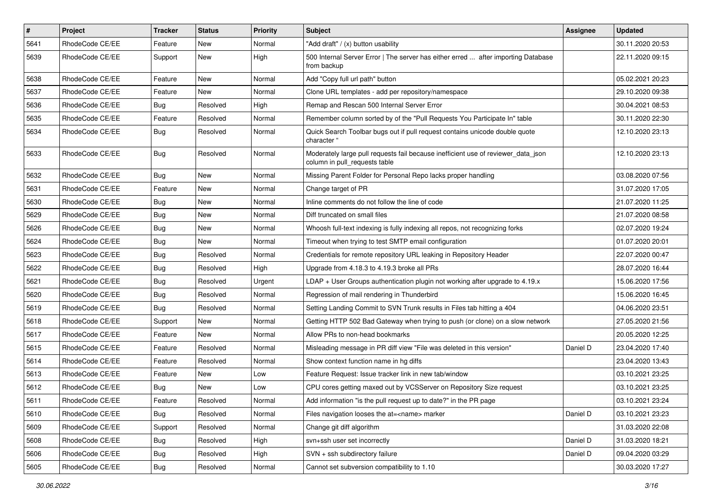| $\sharp$ | Project         | <b>Tracker</b> | <b>Status</b> | <b>Priority</b> | <b>Subject</b>                                                                                                     | Assignee | <b>Updated</b>   |
|----------|-----------------|----------------|---------------|-----------------|--------------------------------------------------------------------------------------------------------------------|----------|------------------|
| 5641     | RhodeCode CE/EE | Feature        | New           | Normal          | "Add draft" / (x) button usability                                                                                 |          | 30.11.2020 20:53 |
| 5639     | RhodeCode CE/EE | Support        | New           | High            | 500 Internal Server Error   The server has either erred  after importing Database<br>from backup                   |          | 22.11.2020 09:15 |
| 5638     | RhodeCode CE/EE | Feature        | New           | Normal          | Add "Copy full url path" button                                                                                    |          | 05.02.2021 20:23 |
| 5637     | RhodeCode CE/EE | Feature        | New           | Normal          | Clone URL templates - add per repository/namespace                                                                 |          | 29.10.2020 09:38 |
| 5636     | RhodeCode CE/EE | Bug            | Resolved      | High            | Remap and Rescan 500 Internal Server Error                                                                         |          | 30.04.2021 08:53 |
| 5635     | RhodeCode CE/EE | Feature        | Resolved      | Normal          | Remember column sorted by of the "Pull Requests You Participate In" table                                          |          | 30.11.2020 22:30 |
| 5634     | RhodeCode CE/EE | <b>Bug</b>     | Resolved      | Normal          | Quick Search Toolbar bugs out if pull request contains unicode double quote<br>character "                         |          | 12.10.2020 23:13 |
| 5633     | RhodeCode CE/EE | Bug            | Resolved      | Normal          | Moderately large pull requests fail because inefficient use of reviewer_data_json<br>column in pull requests table |          | 12.10.2020 23:13 |
| 5632     | RhodeCode CE/EE | Bug            | New           | Normal          | Missing Parent Folder for Personal Repo lacks proper handling                                                      |          | 03.08.2020 07:56 |
| 5631     | RhodeCode CE/EE | Feature        | New           | Normal          | Change target of PR                                                                                                |          | 31.07.2020 17:05 |
| 5630     | RhodeCode CE/EE | Bug            | New           | Normal          | Inline comments do not follow the line of code                                                                     |          | 21.07.2020 11:25 |
| 5629     | RhodeCode CE/EE | <b>Bug</b>     | New           | Normal          | Diff truncated on small files                                                                                      |          | 21.07.2020 08:58 |
| 5626     | RhodeCode CE/EE | <b>Bug</b>     | New           | Normal          | Whoosh full-text indexing is fully indexing all repos, not recognizing forks                                       |          | 02.07.2020 19:24 |
| 5624     | RhodeCode CE/EE | Bug            | New           | Normal          | Timeout when trying to test SMTP email configuration                                                               |          | 01.07.2020 20:01 |
| 5623     | RhodeCode CE/EE | <b>Bug</b>     | Resolved      | Normal          | Credentials for remote repository URL leaking in Repository Header                                                 |          | 22.07.2020 00:47 |
| 5622     | RhodeCode CE/EE | Bug            | Resolved      | High            | Upgrade from 4.18.3 to 4.19.3 broke all PRs                                                                        |          | 28.07.2020 16:44 |
| 5621     | RhodeCode CE/EE | <b>Bug</b>     | Resolved      | Urgent          | $LDAP + User Groups authentication playing not working after upgrade to 4.19.x$                                    |          | 15.06.2020 17:56 |
| 5620     | RhodeCode CE/EE | Bug            | Resolved      | Normal          | Regression of mail rendering in Thunderbird                                                                        |          | 15.06.2020 16:45 |
| 5619     | RhodeCode CE/EE | Bug            | Resolved      | Normal          | Setting Landing Commit to SVN Trunk results in Files tab hitting a 404                                             |          | 04.06.2020 23:51 |
| 5618     | RhodeCode CE/EE | Support        | New           | Normal          | Getting HTTP 502 Bad Gateway when trying to push (or clone) on a slow network                                      |          | 27.05.2020 21:56 |
| 5617     | RhodeCode CE/EE | Feature        | New           | Normal          | Allow PRs to non-head bookmarks                                                                                    |          | 20.05.2020 12:25 |
| 5615     | RhodeCode CE/EE | Feature        | Resolved      | Normal          | Misleading message in PR diff view "File was deleted in this version"                                              | Daniel D | 23.04.2020 17:40 |
| 5614     | RhodeCode CE/EE | Feature        | Resolved      | Normal          | Show context function name in hg diffs                                                                             |          | 23.04.2020 13:43 |
| 5613     | RhodeCode CE/EE | Feature        | New           | Low             | Feature Request: Issue tracker link in new tab/window                                                              |          | 03.10.2021 23:25 |
| 5612     | RhodeCode CE/EE | Bug            | New           | Low             | CPU cores getting maxed out by VCSServer on Repository Size request                                                |          | 03.10.2021 23:25 |
| 5611     | RhodeCode CE/EE | Feature        | Resolved      | Normal          | Add information "is the pull request up to date?" in the PR page                                                   |          | 03.10.2021 23:24 |
| 5610     | RhodeCode CE/EE | Bug            | Resolved      | Normal          | Files navigation looses the at= <name> marker</name>                                                               | Daniel D | 03.10.2021 23:23 |
| 5609     | RhodeCode CE/EE | Support        | Resolved      | Normal          | Change git diff algorithm                                                                                          |          | 31.03.2020 22:08 |
| 5608     | RhodeCode CE/EE | <b>Bug</b>     | Resolved      | High            | svn+ssh user set incorrectly                                                                                       | Daniel D | 31.03.2020 18:21 |
| 5606     | RhodeCode CE/EE | Bug            | Resolved      | High            | SVN + ssh subdirectory failure                                                                                     | Daniel D | 09.04.2020 03:29 |
| 5605     | RhodeCode CE/EE | Bug            | Resolved      | Normal          | Cannot set subversion compatibility to 1.10                                                                        |          | 30.03.2020 17:27 |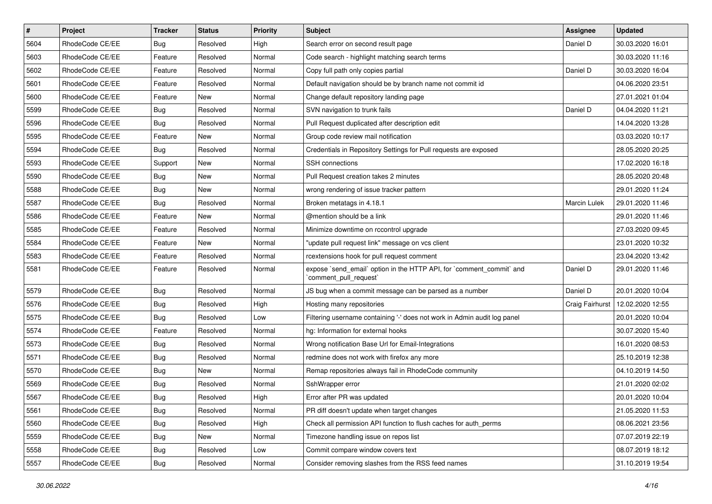| $\vert$ # | Project         | <b>Tracker</b> | <b>Status</b> | <b>Priority</b> | Subject                                                                                        | Assignee            | <b>Updated</b>   |
|-----------|-----------------|----------------|---------------|-----------------|------------------------------------------------------------------------------------------------|---------------------|------------------|
| 5604      | RhodeCode CE/EE | <b>Bug</b>     | Resolved      | High            | Search error on second result page                                                             | Daniel D            | 30.03.2020 16:01 |
| 5603      | RhodeCode CE/EE | Feature        | Resolved      | Normal          | Code search - highlight matching search terms                                                  |                     | 30.03.2020 11:16 |
| 5602      | RhodeCode CE/EE | Feature        | Resolved      | Normal          | Copy full path only copies partial                                                             | Daniel D            | 30.03.2020 16:04 |
| 5601      | RhodeCode CE/EE | Feature        | Resolved      | Normal          | Default navigation should be by branch name not commit id                                      |                     | 04.06.2020 23:51 |
| 5600      | RhodeCode CE/EE | Feature        | New           | Normal          | Change default repository landing page                                                         |                     | 27.01.2021 01:04 |
| 5599      | RhodeCode CE/EE | <b>Bug</b>     | Resolved      | Normal          | SVN navigation to trunk fails                                                                  | Daniel D            | 04.04.2020 11:21 |
| 5596      | RhodeCode CE/EE | <b>Bug</b>     | Resolved      | Normal          | Pull Request duplicated after description edit                                                 |                     | 14.04.2020 13:28 |
| 5595      | RhodeCode CE/EE | Feature        | New           | Normal          | Group code review mail notification                                                            |                     | 03.03.2020 10:17 |
| 5594      | RhodeCode CE/EE | <b>Bug</b>     | Resolved      | Normal          | Credentials in Repository Settings for Pull requests are exposed                               |                     | 28.05.2020 20:25 |
| 5593      | RhodeCode CE/EE | Support        | New           | Normal          | SSH connections                                                                                |                     | 17.02.2020 16:18 |
| 5590      | RhodeCode CE/EE | <b>Bug</b>     | New           | Normal          | Pull Request creation takes 2 minutes                                                          |                     | 28.05.2020 20:48 |
| 5588      | RhodeCode CE/EE | <b>Bug</b>     | New           | Normal          | wrong rendering of issue tracker pattern                                                       |                     | 29.01.2020 11:24 |
| 5587      | RhodeCode CE/EE | Bug            | Resolved      | Normal          | Broken metatags in 4.18.1                                                                      | <b>Marcin Lulek</b> | 29.01.2020 11:46 |
| 5586      | RhodeCode CE/EE | Feature        | New           | Normal          | @mention should be a link                                                                      |                     | 29.01.2020 11:46 |
| 5585      | RhodeCode CE/EE | Feature        | Resolved      | Normal          | Minimize downtime on rccontrol upgrade                                                         |                     | 27.03.2020 09:45 |
| 5584      | RhodeCode CE/EE | Feature        | New           | Normal          | "update pull request link" message on vcs client                                               |                     | 23.01.2020 10:32 |
| 5583      | RhodeCode CE/EE | Feature        | Resolved      | Normal          | rcextensions hook for pull request comment                                                     |                     | 23.04.2020 13:42 |
| 5581      | RhodeCode CE/EE | Feature        | Resolved      | Normal          | expose `send_email` option in the HTTP API, for `comment_commit` and<br>`comment pull request` | Daniel D            | 29.01.2020 11:46 |
| 5579      | RhodeCode CE/EE | Bug            | Resolved      | Normal          | JS bug when a commit message can be parsed as a number                                         | Daniel D            | 20.01.2020 10:04 |
| 5576      | RhodeCode CE/EE | <b>Bug</b>     | Resolved      | High            | Hosting many repositories                                                                      | Craig Fairhurst     | 12.02.2020 12:55 |
| 5575      | RhodeCode CE/EE | Bug            | Resolved      | Low             | Filtering username containing '-' does not work in Admin audit log panel                       |                     | 20.01.2020 10:04 |
| 5574      | RhodeCode CE/EE | Feature        | Resolved      | Normal          | hg: Information for external hooks                                                             |                     | 30.07.2020 15:40 |
| 5573      | RhodeCode CE/EE | <b>Bug</b>     | Resolved      | Normal          | Wrong notification Base Url for Email-Integrations                                             |                     | 16.01.2020 08:53 |
| 5571      | RhodeCode CE/EE | <b>Bug</b>     | Resolved      | Normal          | redmine does not work with firefox any more                                                    |                     | 25.10.2019 12:38 |
| 5570      | RhodeCode CE/EE | <b>Bug</b>     | New           | Normal          | Remap repositories always fail in RhodeCode community                                          |                     | 04.10.2019 14:50 |
| 5569      | RhodeCode CE/EE | <b>Bug</b>     | Resolved      | Normal          | SshWrapper error                                                                               |                     | 21.01.2020 02:02 |
| 5567      | RhodeCode CE/EE | <b>Bug</b>     | Resolved      | High            | Error after PR was updated                                                                     |                     | 20.01.2020 10:04 |
| 5561      | RhodeCode CE/EE | <b>Bug</b>     | Resolved      | Normal          | PR diff doesn't update when target changes                                                     |                     | 21.05.2020 11:53 |
| 5560      | RhodeCode CE/EE | <b>Bug</b>     | Resolved      | High            | Check all permission API function to flush caches for auth_perms                               |                     | 08.06.2021 23:56 |
| 5559      | RhodeCode CE/EE | <b>Bug</b>     | New           | Normal          | Timezone handling issue on repos list                                                          |                     | 07.07.2019 22:19 |
| 5558      | RhodeCode CE/EE | <b>Bug</b>     | Resolved      | Low             | Commit compare window covers text                                                              |                     | 08.07.2019 18:12 |
| 5557      | RhodeCode CE/EE | <b>Bug</b>     | Resolved      | Normal          | Consider removing slashes from the RSS feed names                                              |                     | 31.10.2019 19:54 |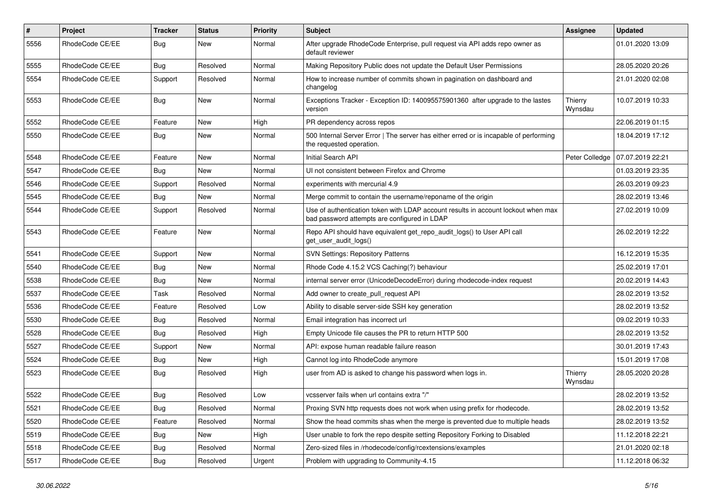| $\sharp$ | <b>Project</b>  | Tracker    | <b>Status</b> | <b>Priority</b> | Subject                                                                                                                           | Assignee           | <b>Updated</b>   |
|----------|-----------------|------------|---------------|-----------------|-----------------------------------------------------------------------------------------------------------------------------------|--------------------|------------------|
| 5556     | RhodeCode CE/EE | Bug        | New           | Normal          | After upgrade RhodeCode Enterprise, pull request via API adds repo owner as<br>default reviewer                                   |                    | 01.01.2020 13:09 |
| 5555     | RhodeCode CE/EE | Bug        | Resolved      | Normal          | Making Repository Public does not update the Default User Permissions                                                             |                    | 28.05.2020 20:26 |
| 5554     | RhodeCode CE/EE | Support    | Resolved      | Normal          | How to increase number of commits shown in pagination on dashboard and<br>changelog                                               |                    | 21.01.2020 02:08 |
| 5553     | RhodeCode CE/EE | Bug        | <b>New</b>    | Normal          | Exceptions Tracker - Exception ID: 140095575901360 after upgrade to the lastes<br>version                                         | Thierry<br>Wynsdau | 10.07.2019 10:33 |
| 5552     | RhodeCode CE/EE | Feature    | <b>New</b>    | High            | PR dependency across repos                                                                                                        |                    | 22.06.2019 01:15 |
| 5550     | RhodeCode CE/EE | Bug        | New           | Normal          | 500 Internal Server Error   The server has either erred or is incapable of performing<br>the requested operation.                 |                    | 18.04.2019 17:12 |
| 5548     | RhodeCode CE/EE | Feature    | New           | Normal          | Initial Search API                                                                                                                | Peter Colledge     | 07.07.2019 22:21 |
| 5547     | RhodeCode CE/EE | Bug        | New           | Normal          | UI not consistent between Firefox and Chrome                                                                                      |                    | 01.03.2019 23:35 |
| 5546     | RhodeCode CE/EE | Support    | Resolved      | Normal          | experiments with mercurial 4.9                                                                                                    |                    | 26.03.2019 09:23 |
| 5545     | RhodeCode CE/EE | Bug        | New           | Normal          | Merge commit to contain the username/reponame of the origin                                                                       |                    | 28.02.2019 13:46 |
| 5544     | RhodeCode CE/EE | Support    | Resolved      | Normal          | Use of authentication token with LDAP account results in account lockout when max<br>bad password attempts are configured in LDAP |                    | 27.02.2019 10:09 |
| 5543     | RhodeCode CE/EE | Feature    | New           | Normal          | Repo API should have equivalent get_repo_audit_logs() to User API call<br>get_user_audit_logs()                                   |                    | 26.02.2019 12:22 |
| 5541     | RhodeCode CE/EE | Support    | New           | Normal          | <b>SVN Settings: Repository Patterns</b>                                                                                          |                    | 16.12.2019 15:35 |
| 5540     | RhodeCode CE/EE | Bug        | New           | Normal          | Rhode Code 4.15.2 VCS Caching(?) behaviour                                                                                        |                    | 25.02.2019 17:01 |
| 5538     | RhodeCode CE/EE | Bug        | New           | Normal          | internal server error (UnicodeDecodeError) during rhodecode-index request                                                         |                    | 20.02.2019 14:43 |
| 5537     | RhodeCode CE/EE | Task       | Resolved      | Normal          | Add owner to create pull request API                                                                                              |                    | 28.02.2019 13:52 |
| 5536     | RhodeCode CE/EE | Feature    | Resolved      | Low             | Ability to disable server-side SSH key generation                                                                                 |                    | 28.02.2019 13:52 |
| 5530     | RhodeCode CE/EE | Bug        | Resolved      | Normal          | Email integration has incorrect url                                                                                               |                    | 09.02.2019 10:33 |
| 5528     | RhodeCode CE/EE | <b>Bug</b> | Resolved      | High            | Empty Unicode file causes the PR to return HTTP 500                                                                               |                    | 28.02.2019 13:52 |
| 5527     | RhodeCode CE/EE | Support    | New           | Normal          | API: expose human readable failure reason                                                                                         |                    | 30.01.2019 17:43 |
| 5524     | RhodeCode CE/EE | Bug        | New           | High            | Cannot log into RhodeCode anymore                                                                                                 |                    | 15.01.2019 17:08 |
| 5523     | RhodeCode CE/EE | Bug        | Resolved      | High            | user from AD is asked to change his password when logs in.                                                                        | Thierry<br>Wynsdau | 28.05.2020 20:28 |
| 5522     | RhodeCode CE/EE | Bug        | Resolved      | Low             | vcsserver fails when url contains extra "/"                                                                                       |                    | 28.02.2019 13:52 |
| 5521     | RhodeCode CE/EE | Bug        | Resolved      | Normal          | Proxing SVN http requests does not work when using prefix for rhodecode.                                                          |                    | 28.02.2019 13:52 |
| 5520     | RhodeCode CE/EE | Feature    | Resolved      | Normal          | Show the head commits shas when the merge is prevented due to multiple heads                                                      |                    | 28.02.2019 13:52 |
| 5519     | RhodeCode CE/EE | <b>Bug</b> | New           | High            | User unable to fork the repo despite setting Repository Forking to Disabled                                                       |                    | 11.12.2018 22:21 |
| 5518     | RhodeCode CE/EE | Bug        | Resolved      | Normal          | Zero-sized files in /rhodecode/config/rcextensions/examples                                                                       |                    | 21.01.2020 02:18 |
| 5517     | RhodeCode CE/EE | Bug        | Resolved      | Urgent          | Problem with upgrading to Community-4.15                                                                                          |                    | 11.12.2018 06:32 |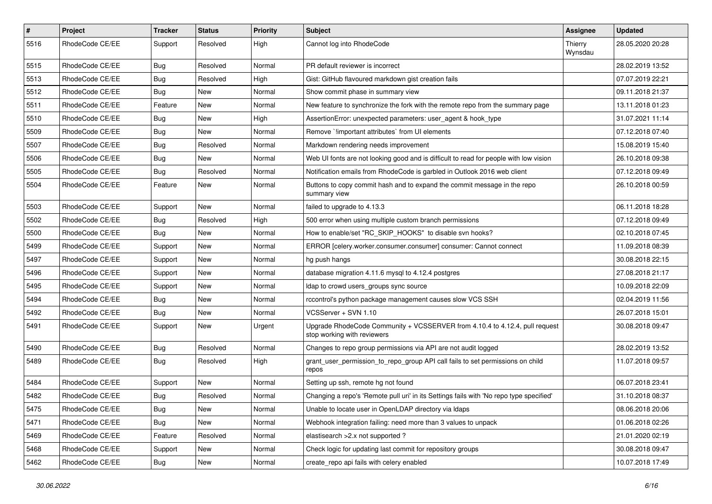| $\pmb{\#}$ | <b>Project</b>  | Tracker    | <b>Status</b> | <b>Priority</b> | Subject                                                                                                    | <b>Assignee</b>    | <b>Updated</b>   |
|------------|-----------------|------------|---------------|-----------------|------------------------------------------------------------------------------------------------------------|--------------------|------------------|
| 5516       | RhodeCode CE/EE | Support    | Resolved      | High            | Cannot log into RhodeCode                                                                                  | Thierry<br>Wynsdau | 28.05.2020 20:28 |
| 5515       | RhodeCode CE/EE | Bug        | Resolved      | Normal          | PR default reviewer is incorrect                                                                           |                    | 28.02.2019 13:52 |
| 5513       | RhodeCode CE/EE | <b>Bug</b> | Resolved      | High            | Gist: GitHub flavoured markdown gist creation fails                                                        |                    | 07.07.2019 22:21 |
| 5512       | RhodeCode CE/EE | Bug        | <b>New</b>    | Normal          | Show commit phase in summary view                                                                          |                    | 09.11.2018 21:37 |
| 5511       | RhodeCode CE/EE | Feature    | New           | Normal          | New feature to synchronize the fork with the remote repo from the summary page                             |                    | 13.11.2018 01:23 |
| 5510       | RhodeCode CE/EE | <b>Bug</b> | New           | High            | AssertionError: unexpected parameters: user agent & hook type                                              |                    | 31.07.2021 11:14 |
| 5509       | RhodeCode CE/EE | <b>Bug</b> | New           | Normal          | Remove `limportant attributes` from UI elements                                                            |                    | 07.12.2018 07:40 |
| 5507       | RhodeCode CE/EE | <b>Bug</b> | Resolved      | Normal          | Markdown rendering needs improvement                                                                       |                    | 15.08.2019 15:40 |
| 5506       | RhodeCode CE/EE | <b>Bug</b> | New           | Normal          | Web UI fonts are not looking good and is difficult to read for people with low vision                      |                    | 26.10.2018 09:38 |
| 5505       | RhodeCode CE/EE | Bug        | Resolved      | Normal          | Notification emails from RhodeCode is garbled in Outlook 2016 web client                                   |                    | 07.12.2018 09:49 |
| 5504       | RhodeCode CE/EE | Feature    | New           | Normal          | Buttons to copy commit hash and to expand the commit message in the repo<br>summary view                   |                    | 26.10.2018 00:59 |
| 5503       | RhodeCode CE/EE | Support    | <b>New</b>    | Normal          | failed to upgrade to 4.13.3                                                                                |                    | 06.11.2018 18:28 |
| 5502       | RhodeCode CE/EE | <b>Bug</b> | Resolved      | High            | 500 error when using multiple custom branch permissions                                                    |                    | 07.12.2018 09:49 |
| 5500       | RhodeCode CE/EE | Bug        | New           | Normal          | How to enable/set "RC_SKIP_HOOKS" to disable svn hooks?                                                    |                    | 02.10.2018 07:45 |
| 5499       | RhodeCode CE/EE | Support    | New           | Normal          | ERROR [celery.worker.consumer.consumer] consumer: Cannot connect                                           |                    | 11.09.2018 08:39 |
| 5497       | RhodeCode CE/EE | Support    | <b>New</b>    | Normal          | hg push hangs                                                                                              |                    | 30.08.2018 22:15 |
| 5496       | RhodeCode CE/EE | Support    | New           | Normal          | database migration 4.11.6 mysql to 4.12.4 postgres                                                         |                    | 27.08.2018 21:17 |
| 5495       | RhodeCode CE/EE | Support    | New           | Normal          | Idap to crowd users_groups sync source                                                                     |                    | 10.09.2018 22:09 |
| 5494       | RhodeCode CE/EE | Bug        | New           | Normal          | rccontrol's python package management causes slow VCS SSH                                                  |                    | 02.04.2019 11:56 |
| 5492       | RhodeCode CE/EE | Bug        | New           | Normal          | VCSServer + SVN 1.10                                                                                       |                    | 26.07.2018 15:01 |
| 5491       | RhodeCode CE/EE | Support    | <b>New</b>    | Urgent          | Upgrade RhodeCode Community + VCSSERVER from 4.10.4 to 4.12.4, pull request<br>stop working with reviewers |                    | 30.08.2018 09:47 |
| 5490       | RhodeCode CE/EE | Bug        | Resolved      | Normal          | Changes to repo group permissions via API are not audit logged                                             |                    | 28.02.2019 13:52 |
| 5489       | RhodeCode CE/EE | Bug        | Resolved      | High            | grant_user_permission_to_repo_group API call fails to set permissions on child<br>repos                    |                    | 11.07.2018 09:57 |
| 5484       | RhodeCode CE/EE | Support    | <b>New</b>    | Normal          | Setting up ssh, remote hg not found                                                                        |                    | 06.07.2018 23:41 |
| 5482       | RhodeCode CE/EE | <b>Bug</b> | Resolved      | Normal          | Changing a repo's 'Remote pull uri' in its Settings fails with 'No repo type specified'                    |                    | 31.10.2018 08:37 |
| 5475       | RhodeCode CE/EE | Bug        | New           | Normal          | Unable to locate user in OpenLDAP directory via Idaps                                                      |                    | 08.06.2018 20:06 |
| 5471       | RhodeCode CE/EE | Bug        | New           | Normal          | Webhook integration failing: need more than 3 values to unpack                                             |                    | 01.06.2018 02:26 |
| 5469       | RhodeCode CE/EE | Feature    | Resolved      | Normal          | elastisearch > 2.x not supported ?                                                                         |                    | 21.01.2020 02:19 |
| 5468       | RhodeCode CE/EE | Support    | New           | Normal          | Check logic for updating last commit for repository groups                                                 |                    | 30.08.2018 09:47 |
| 5462       | RhodeCode CE/EE | <b>Bug</b> | New           | Normal          | create_repo api fails with celery enabled                                                                  |                    | 10.07.2018 17:49 |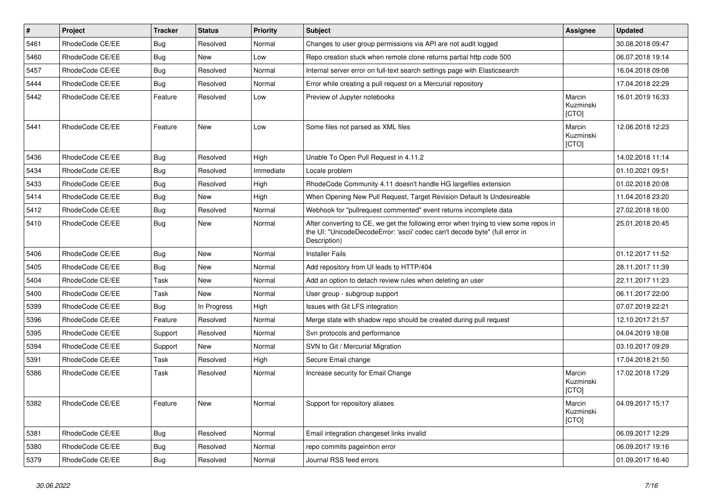| $\vert$ # | Project         | <b>Tracker</b> | <b>Status</b> | <b>Priority</b> | <b>Subject</b>                                                                                                                                                                       | Assignee                     | <b>Updated</b>   |
|-----------|-----------------|----------------|---------------|-----------------|--------------------------------------------------------------------------------------------------------------------------------------------------------------------------------------|------------------------------|------------------|
| 5461      | RhodeCode CE/EE | Bug            | Resolved      | Normal          | Changes to user group permissions via API are not audit logged                                                                                                                       |                              | 30.08.2018 09:47 |
| 5460      | RhodeCode CE/EE | Bug            | <b>New</b>    | Low             | Repo creation stuck when remote clone returns partial http code 500                                                                                                                  |                              | 06.07.2018 19:14 |
| 5457      | RhodeCode CE/EE | Bug            | Resolved      | Normal          | Internal server error on full-text search settings page with Elasticsearch                                                                                                           |                              | 16.04.2018 09:08 |
| 5444      | RhodeCode CE/EE | Bug            | Resolved      | Normal          | Error while creating a pull request on a Mercurial repository                                                                                                                        |                              | 17.04.2018 22:29 |
| 5442      | RhodeCode CE/EE | Feature        | Resolved      | Low             | Preview of Jupyter notebooks                                                                                                                                                         | Marcin<br>Kuzminski<br>[CTO] | 16.01.2019 16:33 |
| 5441      | RhodeCode CE/EE | Feature        | <b>New</b>    | Low             | Some files not parsed as XML files                                                                                                                                                   | Marcin<br>Kuzminski<br>[CTO] | 12.06.2018 12:23 |
| 5436      | RhodeCode CE/EE | Bug            | Resolved      | High            | Unable To Open Pull Request in 4.11.2                                                                                                                                                |                              | 14.02.2018 11:14 |
| 5434      | RhodeCode CE/EE | <b>Bug</b>     | Resolved      | Immediate       | Locale problem                                                                                                                                                                       |                              | 01.10.2021 09:51 |
| 5433      | RhodeCode CE/EE | <b>Bug</b>     | Resolved      | High            | RhodeCode Community 4.11 doesn't handle HG largefiles extension                                                                                                                      |                              | 01.02.2018 20:08 |
| 5414      | RhodeCode CE/EE | Bug            | <b>New</b>    | High            | When Opening New Pull Request, Target Revision Default Is Undesireable                                                                                                               |                              | 11.04.2018 23:20 |
| 5412      | RhodeCode CE/EE | Bug            | Resolved      | Normal          | Webhook for "pullrequest commented" event returns incomplete data                                                                                                                    |                              | 27.02.2018 18:00 |
| 5410      | RhodeCode CE/EE | Bug            | <b>New</b>    | Normal          | After converting to CE, we get the following error when trying to view some repos in<br>the UI: "UnicodeDecodeError: 'ascii' codec can't decode byte" (full error in<br>Description) |                              | 25.01.2018 20:45 |
| 5406      | RhodeCode CE/EE | Bug            | <b>New</b>    | Normal          | <b>Installer Fails</b>                                                                                                                                                               |                              | 01.12.2017 11:52 |
| 5405      | RhodeCode CE/EE | Bug            | <b>New</b>    | Normal          | Add repository from UI leads to HTTP/404                                                                                                                                             |                              | 28.11.2017 11:39 |
| 5404      | RhodeCode CE/EE | Task           | <b>New</b>    | Normal          | Add an option to detach review rules when deleting an user                                                                                                                           |                              | 22.11.2017 11:23 |
| 5400      | RhodeCode CE/EE | Task           | <b>New</b>    | Normal          | User group - subgroup support                                                                                                                                                        |                              | 06.11.2017 22:00 |
| 5399      | RhodeCode CE/EE | <b>Bug</b>     | In Progress   | High            | Issues with Git LFS integration                                                                                                                                                      |                              | 07.07.2019 22:21 |
| 5396      | RhodeCode CE/EE | Feature        | Resolved      | Normal          | Merge state with shadow repo should be created during pull request                                                                                                                   |                              | 12.10.2017 21:57 |
| 5395      | RhodeCode CE/EE | Support        | Resolved      | Normal          | Svn protocols and performance                                                                                                                                                        |                              | 04.04.2019 18:08 |
| 5394      | RhodeCode CE/EE | Support        | <b>New</b>    | Normal          | SVN to Git / Mercurial Migration                                                                                                                                                     |                              | 03.10.2017 09:29 |
| 5391      | RhodeCode CE/EE | Task           | Resolved      | High            | Secure Email change                                                                                                                                                                  |                              | 17.04.2018 21:50 |
| 5386      | RhodeCode CE/EE | Task           | Resolved      | Normal          | Increase security for Email Change                                                                                                                                                   | Marcin<br>Kuzminski<br>[CTO] | 17.02.2018 17:29 |
| 5382      | RhodeCode CE/EE | Feature        | New           | Normal          | Support for repository aliases                                                                                                                                                       | Marcin<br>Kuzminski<br>[CTO] | 04.09.2017 15:17 |
| 5381      | RhodeCode CE/EE | <b>Bug</b>     | Resolved      | Normal          | Email integration changeset links invalid                                                                                                                                            |                              | 06.09.2017 12:29 |
| 5380      | RhodeCode CE/EE | <b>Bug</b>     | Resolved      | Normal          | repo commits pageintion error                                                                                                                                                        |                              | 06.09.2017 19:16 |
| 5379      | RhodeCode CE/EE | <b>Bug</b>     | Resolved      | Normal          | Journal RSS feed errors                                                                                                                                                              |                              | 01.09.2017 16:40 |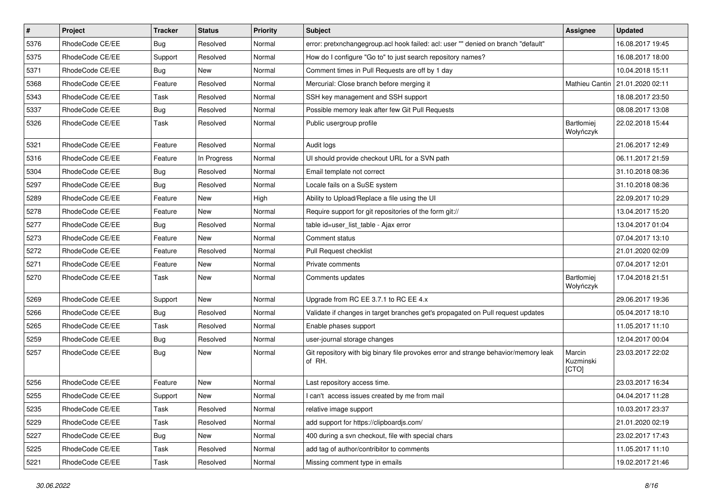| $\overline{\boldsymbol{H}}$ | Project         | <b>Tracker</b> | <b>Status</b> | <b>Priority</b> | <b>Subject</b>                                                                                | <b>Assignee</b>              | <b>Updated</b>                    |
|-----------------------------|-----------------|----------------|---------------|-----------------|-----------------------------------------------------------------------------------------------|------------------------------|-----------------------------------|
| 5376                        | RhodeCode CE/EE | Bug            | Resolved      | Normal          | error: pretxnchangegroup.acl hook failed: acl: user "" denied on branch "default"             |                              | 16.08.2017 19:45                  |
| 5375                        | RhodeCode CE/EE | Support        | Resolved      | Normal          | How do I configure "Go to" to just search repository names?                                   |                              | 16.08.2017 18:00                  |
| 5371                        | RhodeCode CE/EE | Bug            | New           | Normal          | Comment times in Pull Requests are off by 1 day                                               |                              | 10.04.2018 15:11                  |
| 5368                        | RhodeCode CE/EE | Feature        | Resolved      | Normal          | Mercurial: Close branch before merging it                                                     |                              | Mathieu Cantin   21.01.2020 02:11 |
| 5343                        | RhodeCode CE/EE | Task           | Resolved      | Normal          | SSH key management and SSH support                                                            |                              | 18.08.2017 23:50                  |
| 5337                        | RhodeCode CE/EE | Bug            | Resolved      | Normal          | Possible memory leak after few Git Pull Requests                                              |                              | 08.08.2017 13:08                  |
| 5326                        | RhodeCode CE/EE | Task           | Resolved      | Normal          | Public usergroup profile                                                                      | Bartłomiej<br>Wołyńczyk      | 22.02.2018 15:44                  |
| 5321                        | RhodeCode CE/EE | Feature        | Resolved      | Normal          | Audit logs                                                                                    |                              | 21.06.2017 12:49                  |
| 5316                        | RhodeCode CE/EE | Feature        | In Progress   | Normal          | UI should provide checkout URL for a SVN path                                                 |                              | 06.11.2017 21:59                  |
| 5304                        | RhodeCode CE/EE | Bug            | Resolved      | Normal          | Email template not correct                                                                    |                              | 31.10.2018 08:36                  |
| 5297                        | RhodeCode CE/EE | Bug            | Resolved      | Normal          | Locale fails on a SuSE system                                                                 |                              | 31.10.2018 08:36                  |
| 5289                        | RhodeCode CE/EE | Feature        | <b>New</b>    | High            | Ability to Upload/Replace a file using the UI                                                 |                              | 22.09.2017 10:29                  |
| 5278                        | RhodeCode CE/EE | Feature        | New           | Normal          | Require support for git repositories of the form git://                                       |                              | 13.04.2017 15:20                  |
| 5277                        | RhodeCode CE/EE | Bug            | Resolved      | Normal          | table id=user_list_table - Ajax error                                                         |                              | 13.04.2017 01:04                  |
| 5273                        | RhodeCode CE/EE | Feature        | <b>New</b>    | Normal          | Comment status                                                                                |                              | 07.04.2017 13:10                  |
| 5272                        | RhodeCode CE/EE | Feature        | Resolved      | Normal          | Pull Request checklist                                                                        |                              | 21.01.2020 02:09                  |
| 5271                        | RhodeCode CE/EE | Feature        | New           | Normal          | Private comments                                                                              |                              | 07.04.2017 12:01                  |
| 5270                        | RhodeCode CE/EE | Task           | New           | Normal          | Comments updates                                                                              | Bartłomiej<br>Wołyńczyk      | 17.04.2018 21:51                  |
| 5269                        | RhodeCode CE/EE | Support        | <b>New</b>    | Normal          | Upgrade from RC EE 3.7.1 to RC EE 4.x                                                         |                              | 29.06.2017 19:36                  |
| 5266                        | RhodeCode CE/EE | Bug            | Resolved      | Normal          | Validate if changes in target branches get's propagated on Pull request updates               |                              | 05.04.2017 18:10                  |
| 5265                        | RhodeCode CE/EE | Task           | Resolved      | Normal          | Enable phases support                                                                         |                              | 11.05.2017 11:10                  |
| 5259                        | RhodeCode CE/EE | Bug            | Resolved      | Normal          | user-journal storage changes                                                                  |                              | 12.04.2017 00:04                  |
| 5257                        | RhodeCode CE/EE | Bug            | New           | Normal          | Git repository with big binary file provokes error and strange behavior/memory leak<br>of RH. | Marcin<br>Kuzminski<br>[CTO] | 23.03.2017 22:02                  |
| 5256                        | RhodeCode CE/EE | Feature        | <b>New</b>    | Normal          | Last repository access time.                                                                  |                              | 23.03.2017 16:34                  |
| 5255                        | RhodeCode CE/EE | Support        | New           | Normal          | I can't access issues created by me from mail                                                 |                              | 04.04.2017 11:28                  |
| 5235                        | RhodeCode CE/EE | Task           | Resolved      | Normal          | relative image support                                                                        |                              | 10.03.2017 23:37                  |
| 5229                        | RhodeCode CE/EE | Task           | Resolved      | Normal          | add support for https://clipboardjs.com/                                                      |                              | 21.01.2020 02:19                  |
| 5227                        | RhodeCode CE/EE | <b>Bug</b>     | New           | Normal          | 400 during a svn checkout, file with special chars                                            |                              | 23.02.2017 17:43                  |
| 5225                        | RhodeCode CE/EE | Task           | Resolved      | Normal          | add tag of author/contribitor to comments                                                     |                              | 11.05.2017 11:10                  |
| 5221                        | RhodeCode CE/EE | Task           | Resolved      | Normal          | Missing comment type in emails                                                                |                              | 19.02.2017 21:46                  |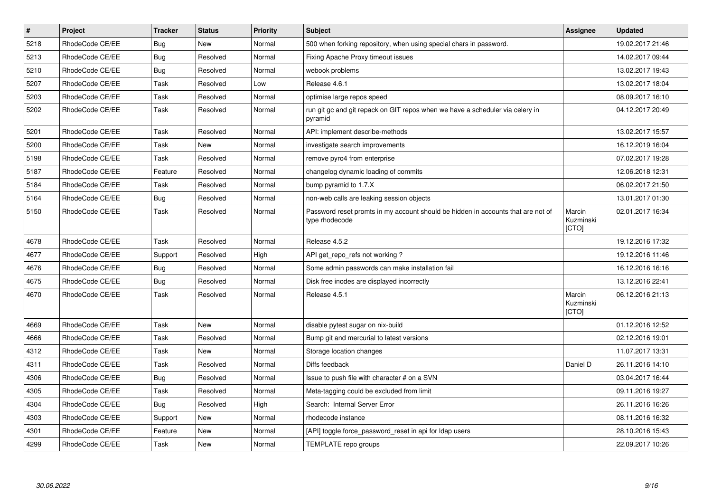| $\vert$ # | Project         | <b>Tracker</b> | <b>Status</b> | <b>Priority</b> | <b>Subject</b>                                                                                     | Assignee                     | <b>Updated</b>   |
|-----------|-----------------|----------------|---------------|-----------------|----------------------------------------------------------------------------------------------------|------------------------------|------------------|
| 5218      | RhodeCode CE/EE | <b>Bug</b>     | <b>New</b>    | Normal          | 500 when forking repository, when using special chars in password.                                 |                              | 19.02.2017 21:46 |
| 5213      | RhodeCode CE/EE | <b>Bug</b>     | Resolved      | Normal          | Fixing Apache Proxy timeout issues                                                                 |                              | 14.02.2017 09:44 |
| 5210      | RhodeCode CE/EE | Bug            | Resolved      | Normal          | webook problems                                                                                    |                              | 13.02.2017 19:43 |
| 5207      | RhodeCode CE/EE | Task           | Resolved      | Low             | Release 4.6.1                                                                                      |                              | 13.02.2017 18:04 |
| 5203      | RhodeCode CE/EE | Task           | Resolved      | Normal          | optimise large repos speed                                                                         |                              | 08.09.2017 16:10 |
| 5202      | RhodeCode CE/EE | Task           | Resolved      | Normal          | run git gc and git repack on GIT repos when we have a scheduler via celery in<br>pyramid           |                              | 04.12.2017 20:49 |
| 5201      | RhodeCode CE/EE | Task           | Resolved      | Normal          | API: implement describe-methods                                                                    |                              | 13.02.2017 15:57 |
| 5200      | RhodeCode CE/EE | Task           | <b>New</b>    | Normal          | investigate search improvements                                                                    |                              | 16.12.2019 16:04 |
| 5198      | RhodeCode CE/EE | Task           | Resolved      | Normal          | remove pyro4 from enterprise                                                                       |                              | 07.02.2017 19:28 |
| 5187      | RhodeCode CE/EE | Feature        | Resolved      | Normal          | changelog dynamic loading of commits                                                               |                              | 12.06.2018 12:31 |
| 5184      | RhodeCode CE/EE | Task           | Resolved      | Normal          | bump pyramid to 1.7.X                                                                              |                              | 06.02.2017 21:50 |
| 5164      | RhodeCode CE/EE | Bug            | Resolved      | Normal          | non-web calls are leaking session objects                                                          |                              | 13.01.2017 01:30 |
| 5150      | RhodeCode CE/EE | Task           | Resolved      | Normal          | Password reset promts in my account should be hidden in accounts that are not of<br>type rhodecode | Marcin<br>Kuzminski<br>[CTO] | 02.01.2017 16:34 |
| 4678      | RhodeCode CE/EE | Task           | Resolved      | Normal          | Release 4.5.2                                                                                      |                              | 19.12.2016 17:32 |
| 4677      | RhodeCode CE/EE | Support        | Resolved      | High            | API get repo refs not working?                                                                     |                              | 19.12.2016 11:46 |
| 4676      | RhodeCode CE/EE | <b>Bug</b>     | Resolved      | Normal          | Some admin passwords can make installation fail                                                    |                              | 16.12.2016 16:16 |
| 4675      | RhodeCode CE/EE | Bug            | Resolved      | Normal          | Disk free inodes are displayed incorrectly                                                         |                              | 13.12.2016 22:41 |
| 4670      | RhodeCode CE/EE | Task           | Resolved      | Normal          | Release 4.5.1                                                                                      | Marcin<br>Kuzminski<br>[CTO] | 06.12.2016 21:13 |
| 4669      | RhodeCode CE/EE | Task           | New           | Normal          | disable pytest sugar on nix-build                                                                  |                              | 01.12.2016 12:52 |
| 4666      | RhodeCode CE/EE | Task           | Resolved      | Normal          | Bump git and mercurial to latest versions                                                          |                              | 02.12.2016 19:01 |
| 4312      | RhodeCode CE/EE | Task           | <b>New</b>    | Normal          | Storage location changes                                                                           |                              | 11.07.2017 13:31 |
| 4311      | RhodeCode CE/EE | Task           | Resolved      | Normal          | Diffs feedback                                                                                     | Daniel D                     | 26.11.2016 14:10 |
| 4306      | RhodeCode CE/EE | Bug            | Resolved      | Normal          | Issue to push file with character # on a SVN                                                       |                              | 03.04.2017 16:44 |
| 4305      | RhodeCode CE/EE | Task           | Resolved      | Normal          | Meta-tagging could be excluded from limit                                                          |                              | 09.11.2016 19:27 |
| 4304      | RhodeCode CE/EE | <b>Bug</b>     | Resolved      | High            | Search: Internal Server Error                                                                      |                              | 26.11.2016 16:26 |
| 4303      | RhodeCode CE/EE | Support        | New           | Normal          | rhodecode instance                                                                                 |                              | 08.11.2016 16:32 |
| 4301      | RhodeCode CE/EE | Feature        | New           | Normal          | [API] toggle force password reset in api for Idap users                                            |                              | 28.10.2016 15:43 |
| 4299      | RhodeCode CE/EE | Task           | <b>New</b>    | Normal          | TEMPLATE repo groups                                                                               |                              | 22.09.2017 10:26 |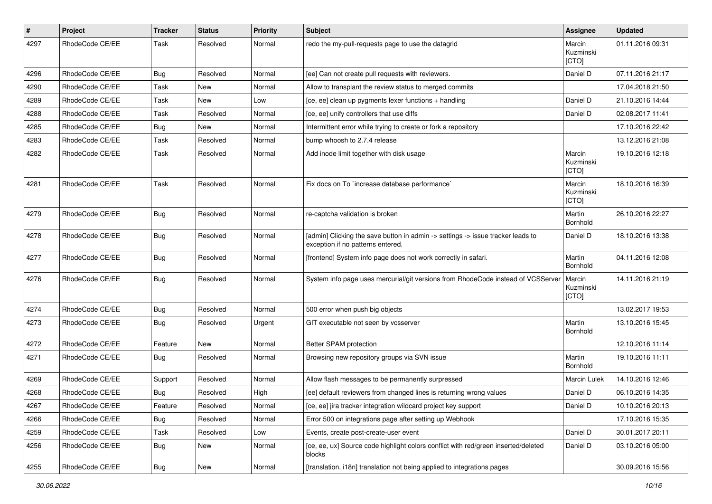| $\pmb{\#}$ | Project         | <b>Tracker</b> | <b>Status</b> | <b>Priority</b> | <b>Subject</b>                                                                                                       | <b>Assignee</b>              | <b>Updated</b>   |
|------------|-----------------|----------------|---------------|-----------------|----------------------------------------------------------------------------------------------------------------------|------------------------------|------------------|
| 4297       | RhodeCode CE/EE | Task           | Resolved      | Normal          | redo the my-pull-requests page to use the datagrid                                                                   | Marcin<br>Kuzminski<br>[CTO] | 01.11.2016 09:31 |
| 4296       | RhodeCode CE/EE | Bug            | Resolved      | Normal          | [ee] Can not create pull requests with reviewers.                                                                    | Daniel D                     | 07.11.2016 21:17 |
| 4290       | RhodeCode CE/EE | Task           | <b>New</b>    | Normal          | Allow to transplant the review status to merged commits                                                              |                              | 17.04.2018 21:50 |
| 4289       | RhodeCode CE/EE | Task           | <b>New</b>    | Low             | [ce, ee] clean up pygments lexer functions + handling                                                                | Daniel D                     | 21.10.2016 14:44 |
| 4288       | RhodeCode CE/EE | Task           | Resolved      | Normal          | [ce, ee] unify controllers that use diffs                                                                            | Daniel D                     | 02.08.2017 11:41 |
| 4285       | RhodeCode CE/EE | <b>Bug</b>     | New           | Normal          | Intermittent error while trying to create or fork a repository                                                       |                              | 17.10.2016 22:42 |
| 4283       | RhodeCode CE/EE | Task           | Resolved      | Normal          | bump whoosh to 2.7.4 release                                                                                         |                              | 13.12.2016 21:08 |
| 4282       | RhodeCode CE/EE | Task           | Resolved      | Normal          | Add inode limit together with disk usage                                                                             | Marcin<br>Kuzminski<br>[CTO] | 19.10.2016 12:18 |
| 4281       | RhodeCode CE/EE | Task           | Resolved      | Normal          | Fix docs on To `increase database performance`                                                                       | Marcin<br>Kuzminski<br>[CTO] | 18.10.2016 16:39 |
| 4279       | RhodeCode CE/EE | Bug            | Resolved      | Normal          | re-captcha validation is broken                                                                                      | Martin<br>Bornhold           | 26.10.2016 22:27 |
| 4278       | RhodeCode CE/EE | Bug            | Resolved      | Normal          | [admin] Clicking the save button in admin -> settings -> issue tracker leads to<br>exception if no patterns entered. | Daniel D                     | 18.10.2016 13:38 |
| 4277       | RhodeCode CE/EE | Bug            | Resolved      | Normal          | [frontend] System info page does not work correctly in safari.                                                       | Martin<br>Bornhold           | 04.11.2016 12:08 |
| 4276       | RhodeCode CE/EE | <b>Bug</b>     | Resolved      | Normal          | System info page uses mercurial/git versions from RhodeCode instead of VCSServer                                     | Marcin<br>Kuzminski<br>[CTO] | 14.11.2016 21:19 |
| 4274       | RhodeCode CE/EE | Bug            | Resolved      | Normal          | 500 error when push big objects                                                                                      |                              | 13.02.2017 19:53 |
| 4273       | RhodeCode CE/EE | Bug            | Resolved      | Urgent          | GIT executable not seen by vcsserver                                                                                 | Martin<br>Bornhold           | 13.10.2016 15:45 |
| 4272       | RhodeCode CE/EE | Feature        | <b>New</b>    | Normal          | Better SPAM protection                                                                                               |                              | 12.10.2016 11:14 |
| 4271       | RhodeCode CE/EE | Bug            | Resolved      | Normal          | Browsing new repository groups via SVN issue                                                                         | Martin<br>Bornhold           | 19.10.2016 11:11 |
| 4269       | RhodeCode CE/EE | Support        | Resolved      | Normal          | Allow flash messages to be permanently surpressed                                                                    | <b>Marcin Lulek</b>          | 14.10.2016 12:46 |
| 4268       | RhodeCode CE/EE | Bug            | Resolved      | High            | [ee] default reviewers from changed lines is returning wrong values                                                  | Daniel D                     | 06.10.2016 14:35 |
| 4267       | RhodeCode CE/EE | Feature        | Resolved      | Normal          | [ce, ee] jira tracker integration wildcard project key support                                                       | Daniel D                     | 10.10.2016 20:13 |
| 4266       | RhodeCode CE/EE | <b>Bug</b>     | Resolved      | Normal          | Error 500 on integrations page after setting up Webhook                                                              |                              | 17.10.2016 15:35 |
| 4259       | RhodeCode CE/EE | Task           | Resolved      | Low             | Events, create post-create-user event                                                                                | Daniel D                     | 30.01.2017 20:11 |
| 4256       | RhodeCode CE/EE | <b>Bug</b>     | New           | Normal          | [ce, ee, ux] Source code highlight colors conflict with red/green inserted/deleted<br>blocks                         | Daniel D                     | 03.10.2016 05:00 |
| 4255       | RhodeCode CE/EE | <b>Bug</b>     | New           | Normal          | [translation, i18n] translation not being applied to integrations pages                                              |                              | 30.09.2016 15:56 |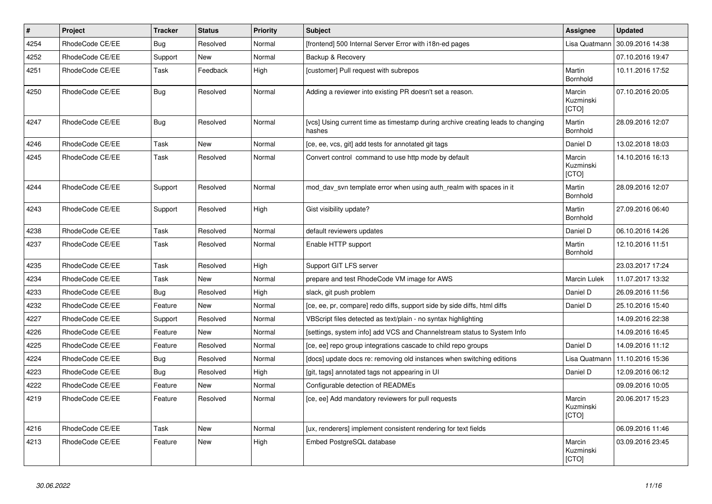| $\vert$ # | Project         | <b>Tracker</b> | <b>Status</b> | <b>Priority</b> | Subject                                                                                   | <b>Assignee</b>              | <b>Updated</b>   |
|-----------|-----------------|----------------|---------------|-----------------|-------------------------------------------------------------------------------------------|------------------------------|------------------|
| 4254      | RhodeCode CE/EE | Bug            | Resolved      | Normal          | [frontend] 500 Internal Server Error with i18n-ed pages                                   | Lisa Quatmann                | 30.09.2016 14:38 |
| 4252      | RhodeCode CE/EE | Support        | <b>New</b>    | Normal          | Backup & Recovery                                                                         |                              | 07.10.2016 19:47 |
| 4251      | RhodeCode CE/EE | Task           | Feedback      | High            | [customer] Pull request with subrepos                                                     | Martin<br>Bornhold           | 10.11.2016 17:52 |
| 4250      | RhodeCode CE/EE | Bug            | Resolved      | Normal          | Adding a reviewer into existing PR doesn't set a reason.                                  | Marcin<br>Kuzminski<br>[CTO] | 07.10.2016 20:05 |
| 4247      | RhodeCode CE/EE | <b>Bug</b>     | Resolved      | Normal          | [vcs] Using current time as timestamp during archive creating leads to changing<br>hashes | Martin<br>Bornhold           | 28.09.2016 12:07 |
| 4246      | RhodeCode CE/EE | Task           | <b>New</b>    | Normal          | [ce, ee, vcs, git] add tests for annotated git tags                                       | Daniel D                     | 13.02.2018 18:03 |
| 4245      | RhodeCode CE/EE | Task           | Resolved      | Normal          | Convert control command to use http mode by default                                       | Marcin<br>Kuzminski<br>[CTO] | 14.10.2016 16:13 |
| 4244      | RhodeCode CE/EE | Support        | Resolved      | Normal          | mod day syn template error when using auth realm with spaces in it                        | Martin<br>Bornhold           | 28.09.2016 12:07 |
| 4243      | RhodeCode CE/EE | Support        | Resolved      | High            | Gist visibility update?                                                                   | Martin<br>Bornhold           | 27.09.2016 06:40 |
| 4238      | RhodeCode CE/EE | Task           | Resolved      | Normal          | default reviewers updates                                                                 | Daniel D                     | 06.10.2016 14:26 |
| 4237      | RhodeCode CE/EE | Task           | Resolved      | Normal          | Enable HTTP support                                                                       | Martin<br>Bornhold           | 12.10.2016 11:51 |
| 4235      | RhodeCode CE/EE | Task           | Resolved      | High            | Support GIT LFS server                                                                    |                              | 23.03.2017 17:24 |
| 4234      | RhodeCode CE/EE | Task           | <b>New</b>    | Normal          | prepare and test RhodeCode VM image for AWS                                               | Marcin Lulek                 | 11.07.2017 13:32 |
| 4233      | RhodeCode CE/EE | <b>Bug</b>     | Resolved      | High            | slack, git push problem                                                                   | Daniel D                     | 26.09.2016 11:56 |
| 4232      | RhodeCode CE/EE | Feature        | <b>New</b>    | Normal          | [ce, ee, pr, compare] redo diffs, support side by side diffs, html diffs                  | Daniel D                     | 25.10.2016 15:40 |
| 4227      | RhodeCode CE/EE | Support        | Resolved      | Normal          | VBScript files detected as text/plain - no syntax highlighting                            |                              | 14.09.2016 22:38 |
| 4226      | RhodeCode CE/EE | Feature        | <b>New</b>    | Normal          | [settings, system info] add VCS and Channelstream status to System Info                   |                              | 14.09.2016 16:45 |
| 4225      | RhodeCode CE/EE | Feature        | Resolved      | Normal          | [ce, ee] repo group integrations cascade to child repo groups                             | Daniel D                     | 14.09.2016 11:12 |
| 4224      | RhodeCode CE/EE | <b>Bug</b>     | Resolved      | Normal          | [docs] update docs re: removing old instances when switching editions                     | Lisa Quatmann                | 11.10.2016 15:36 |
| 4223      | RhodeCode CE/EE | Bug            | Resolved      | High            | [git, tags] annotated tags not appearing in UI                                            | Daniel D                     | 12.09.2016 06:12 |
| 4222      | RhodeCode CE/EE | Feature        | New           | Normal          | Configurable detection of READMEs                                                         |                              | 09.09.2016 10:05 |
| 4219      | RhodeCode CE/EE | Feature        | Resolved      | Normal          | [ce, ee] Add mandatory reviewers for pull requests                                        | Marcin<br>Kuzminski<br>[CTO] | 20.06.2017 15:23 |
| 4216      | RhodeCode CE/EE | Task           | New           | Normal          | [ux, renderers] implement consistent rendering for text fields                            |                              | 06.09.2016 11:46 |
| 4213      | RhodeCode CE/EE | Feature        | <b>New</b>    | High            | Embed PostgreSQL database                                                                 | Marcin<br>Kuzminski<br>[CTO] | 03.09.2016 23:45 |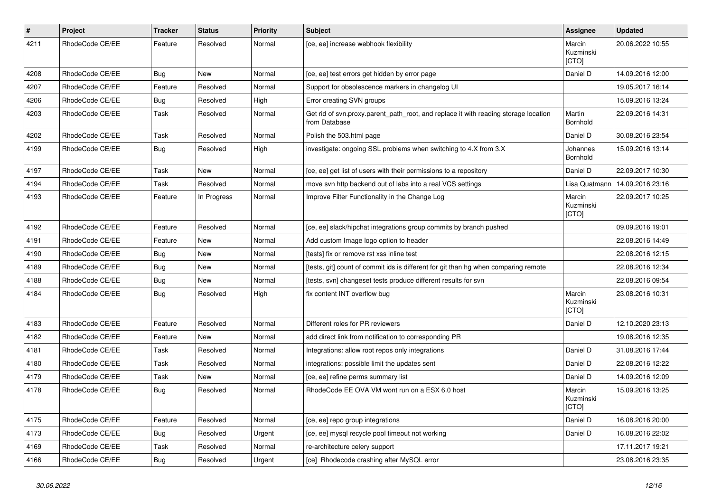| $\pmb{\#}$ | Project         | Tracker    | <b>Status</b> | <b>Priority</b> | <b>Subject</b>                                                                                       | Assignee                     | <b>Updated</b>   |
|------------|-----------------|------------|---------------|-----------------|------------------------------------------------------------------------------------------------------|------------------------------|------------------|
| 4211       | RhodeCode CE/EE | Feature    | Resolved      | Normal          | [ce, ee] increase webhook flexibility                                                                | Marcin<br>Kuzminski<br>[CTO] | 20.06.2022 10:55 |
| 4208       | RhodeCode CE/EE | Bug        | New           | Normal          | [ce, ee] test errors get hidden by error page                                                        | Daniel D                     | 14.09.2016 12:00 |
| 4207       | RhodeCode CE/EE | Feature    | Resolved      | Normal          | Support for obsolescence markers in changelog UI                                                     |                              | 19.05.2017 16:14 |
| 4206       | RhodeCode CE/EE | Bug        | Resolved      | High            | Error creating SVN groups                                                                            |                              | 15.09.2016 13:24 |
| 4203       | RhodeCode CE/EE | Task       | Resolved      | Normal          | Get rid of svn.proxy.parent_path_root, and replace it with reading storage location<br>from Database | Martin<br><b>Bornhold</b>    | 22.09.2016 14:31 |
| 4202       | RhodeCode CE/EE | Task       | Resolved      | Normal          | Polish the 503.html page                                                                             | Daniel D                     | 30.08.2016 23:54 |
| 4199       | RhodeCode CE/EE | Bug        | Resolved      | High            | investigate: ongoing SSL problems when switching to 4.X from 3.X                                     | Johannes<br>Bornhold         | 15.09.2016 13:14 |
| 4197       | RhodeCode CE/EE | Task       | New           | Normal          | [ce, ee] get list of users with their permissions to a repository                                    | Daniel D                     | 22.09.2017 10:30 |
| 4194       | RhodeCode CE/EE | Task       | Resolved      | Normal          | move svn http backend out of labs into a real VCS settings                                           | Lisa Quatmann                | 14.09.2016 23:16 |
| 4193       | RhodeCode CE/EE | Feature    | In Progress   | Normal          | Improve Filter Functionality in the Change Log                                                       | Marcin<br>Kuzminski<br>[CTO] | 22.09.2017 10:25 |
| 4192       | RhodeCode CE/EE | Feature    | Resolved      | Normal          | [ce, ee] slack/hipchat integrations group commits by branch pushed                                   |                              | 09.09.2016 19:01 |
| 4191       | RhodeCode CE/EE | Feature    | New           | Normal          | Add custom Image logo option to header                                                               |                              | 22.08.2016 14:49 |
| 4190       | RhodeCode CE/EE | <b>Bug</b> | New           | Normal          | [tests] fix or remove rst xss inline test                                                            |                              | 22.08.2016 12:15 |
| 4189       | RhodeCode CE/EE | Bug        | New           | Normal          | [tests, git] count of commit ids is different for git than hg when comparing remote                  |                              | 22.08.2016 12:34 |
| 4188       | RhodeCode CE/EE | <b>Bug</b> | New           | Normal          | [tests, svn] changeset tests produce different results for svn                                       |                              | 22.08.2016 09:54 |
| 4184       | RhodeCode CE/EE | <b>Bug</b> | Resolved      | High            | fix content INT overflow bug                                                                         | Marcin<br>Kuzminski<br>[CTO] | 23.08.2016 10:31 |
| 4183       | RhodeCode CE/EE | Feature    | Resolved      | Normal          | Different roles for PR reviewers                                                                     | Daniel D                     | 12.10.2020 23:13 |
| 4182       | RhodeCode CE/EE | Feature    | New           | Normal          | add direct link from notification to corresponding PR                                                |                              | 19.08.2016 12:35 |
| 4181       | RhodeCode CE/EE | Task       | Resolved      | Normal          | Integrations: allow root repos only integrations                                                     | Daniel D                     | 31.08.2016 17:44 |
| 4180       | RhodeCode CE/EE | Task       | Resolved      | Normal          | integrations: possible limit the updates sent                                                        | Daniel D                     | 22.08.2016 12:22 |
| 4179       | RhodeCode CE/EE | Task       | New           | Normal          | [ce, ee] refine perms summary list                                                                   | Daniel D                     | 14.09.2016 12:09 |
| 4178       | RhodeCode CE/EE | Bug        | Resolved      | Normal          | RhodeCode EE OVA VM wont run on a ESX 6.0 host                                                       | Marcin<br>Kuzminski<br>[CTO] | 15.09.2016 13:25 |
| 4175       | RhodeCode CE/EE | Feature    | Resolved      | Normal          | [ce, ee] repo group integrations                                                                     | Daniel D                     | 16.08.2016 20:00 |
| 4173       | RhodeCode CE/EE | Bug        | Resolved      | Urgent          | [ce, ee] mysql recycle pool timeout not working                                                      | Daniel D                     | 16.08.2016 22:02 |
| 4169       | RhodeCode CE/EE | Task       | Resolved      | Normal          | re-architecture celery support                                                                       |                              | 17.11.2017 19:21 |
| 4166       | RhodeCode CE/EE | Bug        | Resolved      | Urgent          | [ce] Rhodecode crashing after MySQL error                                                            |                              | 23.08.2016 23:35 |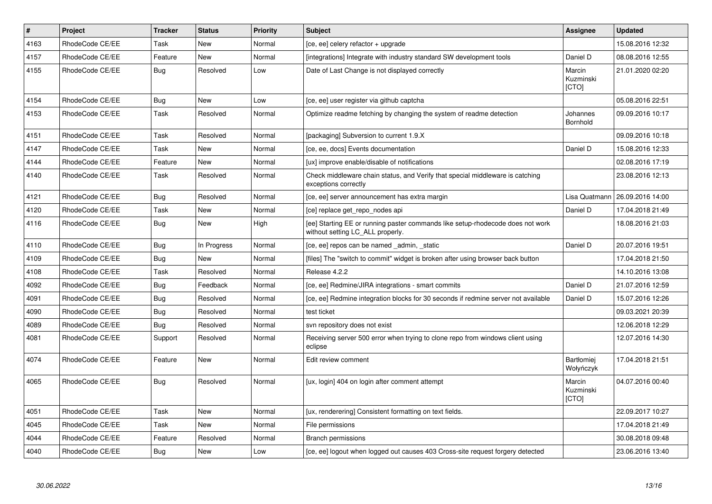| $\vert$ # | Project         | <b>Tracker</b> | <b>Status</b> | <b>Priority</b> | <b>Subject</b>                                                                                                     | Assignee                            | <b>Updated</b>   |
|-----------|-----------------|----------------|---------------|-----------------|--------------------------------------------------------------------------------------------------------------------|-------------------------------------|------------------|
| 4163      | RhodeCode CE/EE | Task           | <b>New</b>    | Normal          | [ce, ee] celery refactor + upgrade                                                                                 |                                     | 15.08.2016 12:32 |
| 4157      | RhodeCode CE/EE | Feature        | <b>New</b>    | Normal          | [integrations] Integrate with industry standard SW development tools                                               | Daniel D                            | 08.08.2016 12:55 |
| 4155      | RhodeCode CE/EE | Bug            | Resolved      | Low             | Date of Last Change is not displayed correctly                                                                     | Marcin<br>Kuzminski<br>[CTO]        | 21.01.2020 02:20 |
| 4154      | RhodeCode CE/EE | <b>Bug</b>     | <b>New</b>    | Low             | [ce, ee] user register via github captcha                                                                          |                                     | 05.08.2016 22:51 |
| 4153      | RhodeCode CE/EE | Task           | Resolved      | Normal          | Optimize readme fetching by changing the system of readme detection                                                | Johannes<br>Bornhold                | 09.09.2016 10:17 |
| 4151      | RhodeCode CE/EE | Task           | Resolved      | Normal          | [packaging] Subversion to current 1.9.X                                                                            |                                     | 09.09.2016 10:18 |
| 4147      | RhodeCode CE/EE | Task           | <b>New</b>    | Normal          | [ce, ee, docs] Events documentation                                                                                | Daniel D                            | 15.08.2016 12:33 |
| 4144      | RhodeCode CE/EE | Feature        | <b>New</b>    | Normal          | [ux] improve enable/disable of notifications                                                                       |                                     | 02.08.2016 17:19 |
| 4140      | RhodeCode CE/EE | Task           | Resolved      | Normal          | Check middleware chain status, and Verify that special middleware is catching<br>exceptions correctly              |                                     | 23.08.2016 12:13 |
| 4121      | RhodeCode CE/EE | <b>Bug</b>     | Resolved      | Normal          | [ce, ee] server announcement has extra margin                                                                      | Lisa Quatmann                       | 26.09.2016 14:00 |
| 4120      | RhodeCode CE/EE | Task           | New           | Normal          | [ce] replace get_repo_nodes api                                                                                    | Daniel D                            | 17.04.2018 21:49 |
| 4116      | RhodeCode CE/EE | Bug            | <b>New</b>    | High            | [ee] Starting EE or running paster commands like setup-rhodecode does not work<br>without setting LC_ALL properly. |                                     | 18.08.2016 21:03 |
| 4110      | RhodeCode CE/EE | Bug            | In Progress   | Normal          | [ce, ee] repos can be named admin, static                                                                          | Daniel D                            | 20.07.2016 19:51 |
| 4109      | RhodeCode CE/EE | Bug            | <b>New</b>    | Normal          | [files] The "switch to commit" widget is broken after using browser back button                                    |                                     | 17.04.2018 21:50 |
| 4108      | RhodeCode CE/EE | Task           | Resolved      | Normal          | Release 4.2.2                                                                                                      |                                     | 14.10.2016 13:08 |
| 4092      | RhodeCode CE/EE | Bug            | Feedback      | Normal          | [ce, ee] Redmine/JIRA integrations - smart commits                                                                 | Daniel D                            | 21.07.2016 12:59 |
| 4091      | RhodeCode CE/EE | Bug            | Resolved      | Normal          | [ce, ee] Redmine integration blocks for 30 seconds if redmine server not available                                 | Daniel D                            | 15.07.2016 12:26 |
| 4090      | RhodeCode CE/EE | <b>Bug</b>     | Resolved      | Normal          | test ticket                                                                                                        |                                     | 09.03.2021 20:39 |
| 4089      | RhodeCode CE/EE | Bug            | Resolved      | Normal          | svn repository does not exist                                                                                      |                                     | 12.06.2018 12:29 |
| 4081      | RhodeCode CE/EE | Support        | Resolved      | Normal          | Receiving server 500 error when trying to clone repo from windows client using<br>eclipse                          |                                     | 12.07.2016 14:30 |
| 4074      | RhodeCode CE/EE | Feature        | <b>New</b>    | Normal          | Edit review comment                                                                                                | Bartłomiej<br>Wołyńczyk             | 17.04.2018 21:51 |
| 4065      | RhodeCode CE/EE | Bug            | Resolved      | Normal          | [ux, login] 404 on login after comment attempt                                                                     | Marcin<br>Kuzminski<br><b>[CTO]</b> | 04.07.2016 00:40 |
| 4051      | RhodeCode CE/EE | Task           | New           | Normal          | [ux, renderering] Consistent formatting on text fields.                                                            |                                     | 22.09.2017 10:27 |
| 4045      | RhodeCode CE/EE | Task           | <b>New</b>    | Normal          | File permissions                                                                                                   |                                     | 17.04.2018 21:49 |
| 4044      | RhodeCode CE/EE | Feature        | Resolved      | Normal          | <b>Branch permissions</b>                                                                                          |                                     | 30.08.2018 09:48 |
| 4040      | RhodeCode CE/EE | Bug            | <b>New</b>    | Low             | [ce, ee] logout when logged out causes 403 Cross-site request forgery detected                                     |                                     | 23.06.2016 13:40 |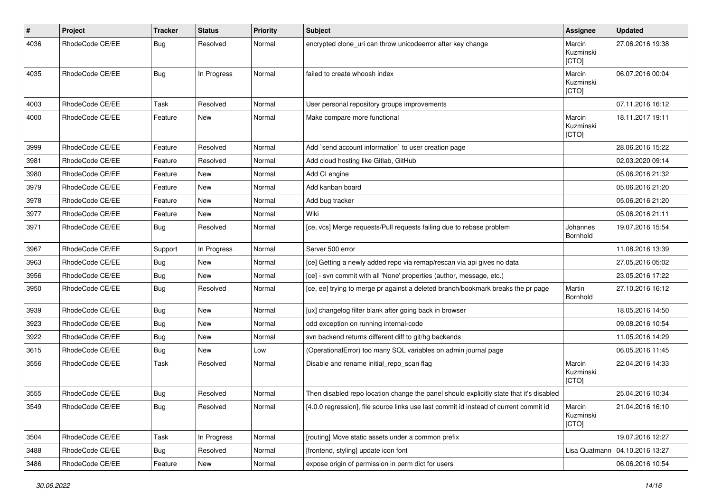| $\sharp$ | Project         | <b>Tracker</b> | <b>Status</b> | <b>Priority</b> | <b>Subject</b>                                                                          | <b>Assignee</b>              | <b>Updated</b>   |
|----------|-----------------|----------------|---------------|-----------------|-----------------------------------------------------------------------------------------|------------------------------|------------------|
| 4036     | RhodeCode CE/EE | Bug            | Resolved      | Normal          | encrypted clone_uri can throw unicodeerror after key change                             | Marcin<br>Kuzminski<br>[CTO] | 27.06.2016 19:38 |
| 4035     | RhodeCode CE/EE | Bug            | In Progress   | Normal          | failed to create whoosh index                                                           | Marcin<br>Kuzminski<br>[CTO] | 06.07.2016 00:04 |
| 4003     | RhodeCode CE/EE | Task           | Resolved      | Normal          | User personal repository groups improvements                                            |                              | 07.11.2016 16:12 |
| 4000     | RhodeCode CE/EE | Feature        | New           | Normal          | Make compare more functional                                                            | Marcin<br>Kuzminski<br>[CTO] | 18.11.2017 19:11 |
| 3999     | RhodeCode CE/EE | Feature        | Resolved      | Normal          | Add `send account information` to user creation page                                    |                              | 28.06.2016 15:22 |
| 3981     | RhodeCode CE/EE | Feature        | Resolved      | Normal          | Add cloud hosting like Gitlab, GitHub                                                   |                              | 02.03.2020 09:14 |
| 3980     | RhodeCode CE/EE | Feature        | <b>New</b>    | Normal          | Add CI engine                                                                           |                              | 05.06.2016 21:32 |
| 3979     | RhodeCode CE/EE | Feature        | New           | Normal          | Add kanban board                                                                        |                              | 05.06.2016 21:20 |
| 3978     | RhodeCode CE/EE | Feature        | New           | Normal          | Add bug tracker                                                                         |                              | 05.06.2016 21:20 |
| 3977     | RhodeCode CE/EE | Feature        | New           | Normal          | Wiki                                                                                    |                              | 05.06.2016 21:11 |
| 3971     | RhodeCode CE/EE | Bug            | Resolved      | Normal          | [ce, vcs] Merge requests/Pull requests failing due to rebase problem                    | Johannes<br>Bornhold         | 19.07.2016 15:54 |
| 3967     | RhodeCode CE/EE | Support        | In Progress   | Normal          | Server 500 error                                                                        |                              | 11.08.2016 13:39 |
| 3963     | RhodeCode CE/EE | Bug            | <b>New</b>    | Normal          | [ce] Getting a newly added repo via remap/rescan via api gives no data                  |                              | 27.05.2016 05:02 |
| 3956     | RhodeCode CE/EE | Bug            | <b>New</b>    | Normal          | [ce] - svn commit with all 'None' properties (author, message, etc.)                    |                              | 23.05.2016 17:22 |
| 3950     | RhodeCode CE/EE | Bug            | Resolved      | Normal          | [ce, ee] trying to merge pr against a deleted branch/bookmark breaks the pr page        | Martin<br>Bornhold           | 27.10.2016 16:12 |
| 3939     | RhodeCode CE/EE | Bug            | <b>New</b>    | Normal          | [ux] changelog filter blank after going back in browser                                 |                              | 18.05.2016 14:50 |
| 3923     | RhodeCode CE/EE | Bug            | New           | Normal          | odd exception on running internal-code                                                  |                              | 09.08.2016 10:54 |
| 3922     | RhodeCode CE/EE | Bug            | <b>New</b>    | Normal          | svn backend returns different diff to git/hg backends                                   |                              | 11.05.2016 14:29 |
| 3615     | RhodeCode CE/EE | <b>Bug</b>     | New           | Low             | (OperationalError) too many SQL variables on admin journal page                         |                              | 06.05.2016 11:45 |
| 3556     | RhodeCode CE/EE | Task           | Resolved      | Normal          | Disable and rename initial_repo_scan flag                                               | Marcin<br>Kuzminski<br>[CTO] | 22.04.2016 14:33 |
| 3555     | RhodeCode CE/EE | Bug            | Resolved      | Normal          | Then disabled repo location change the panel should explicitly state that it's disabled |                              | 25.04.2016 10:34 |
| 3549     | RhodeCode CE/EE | Bug            | Resolved      | Normal          | [4.0.0 regression], file source links use last commit id instead of current commit id   | Marcin<br>Kuzminski<br>[CTO] | 21.04.2016 16:10 |
| 3504     | RhodeCode CE/EE | Task           | In Progress   | Normal          | [routing] Move static assets under a common prefix                                      |                              | 19.07.2016 12:27 |
| 3488     | RhodeCode CE/EE | Bug            | Resolved      | Normal          | [frontend, styling] update icon font                                                    | Lisa Quatmann                | 04.10.2016 13:27 |
| 3486     | RhodeCode CE/EE | Feature        | New           | Normal          | expose origin of permission in perm dict for users                                      |                              | 06.06.2016 10:54 |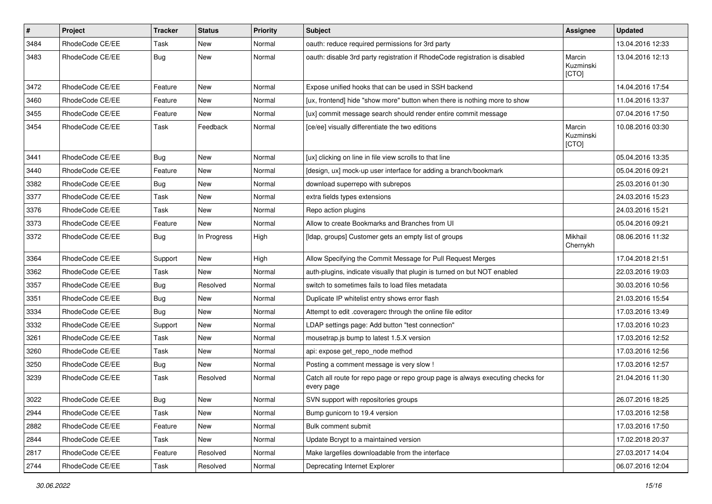| $\vert$ # | Project         | Tracker    | <b>Status</b> | <b>Priority</b> | <b>Subject</b>                                                                                | Assignee                     | <b>Updated</b>   |
|-----------|-----------------|------------|---------------|-----------------|-----------------------------------------------------------------------------------------------|------------------------------|------------------|
| 3484      | RhodeCode CE/EE | Task       | New           | Normal          | oauth: reduce required permissions for 3rd party                                              |                              | 13.04.2016 12:33 |
| 3483      | RhodeCode CE/EE | <b>Bug</b> | <b>New</b>    | Normal          | oauth: disable 3rd party registration if RhodeCode registration is disabled                   | Marcin<br>Kuzminski<br>[CTO] | 13.04.2016 12:13 |
| 3472      | RhodeCode CE/EE | Feature    | <b>New</b>    | Normal          | Expose unified hooks that can be used in SSH backend                                          |                              | 14.04.2016 17:54 |
| 3460      | RhodeCode CE/EE | Feature    | New           | Normal          | [ux, frontend] hide "show more" button when there is nothing more to show                     |                              | 11.04.2016 13:37 |
| 3455      | RhodeCode CE/EE | Feature    | New           | Normal          | [ux] commit message search should render entire commit message                                |                              | 07.04.2016 17:50 |
| 3454      | RhodeCode CE/EE | Task       | Feedback      | Normal          | [ce/ee] visually differentiate the two editions                                               | Marcin<br>Kuzminski<br>[CTO] | 10.08.2016 03:30 |
| 3441      | RhodeCode CE/EE | Bug        | New           | Normal          | [ux] clicking on line in file view scrolls to that line                                       |                              | 05.04.2016 13:35 |
| 3440      | RhodeCode CE/EE | Feature    | New           | Normal          | [design, ux] mock-up user interface for adding a branch/bookmark                              |                              | 05.04.2016 09:21 |
| 3382      | RhodeCode CE/EE | Bug        | New           | Normal          | download superrepo with subrepos                                                              |                              | 25.03.2016 01:30 |
| 3377      | RhodeCode CE/EE | Task       | New           | Normal          | extra fields types extensions                                                                 |                              | 24.03.2016 15:23 |
| 3376      | RhodeCode CE/EE | Task       | New           | Normal          | Repo action plugins                                                                           |                              | 24.03.2016 15:21 |
| 3373      | RhodeCode CE/EE | Feature    | New           | Normal          | Allow to create Bookmarks and Branches from UI                                                |                              | 05.04.2016 09:21 |
| 3372      | RhodeCode CE/EE | Bug        | In Progress   | High            | [Idap, groups] Customer gets an empty list of groups                                          | Mikhail<br>Chernykh          | 08.06.2016 11:32 |
| 3364      | RhodeCode CE/EE | Support    | New           | High            | Allow Specifying the Commit Message for Pull Request Merges                                   |                              | 17.04.2018 21:51 |
| 3362      | RhodeCode CE/EE | Task       | New           | Normal          | auth-plugins, indicate visually that plugin is turned on but NOT enabled                      |                              | 22.03.2016 19:03 |
| 3357      | RhodeCode CE/EE | Bug        | Resolved      | Normal          | switch to sometimes fails to load files metadata                                              |                              | 30.03.2016 10:56 |
| 3351      | RhodeCode CE/EE | <b>Bug</b> | New           | Normal          | Duplicate IP whitelist entry shows error flash                                                |                              | 21.03.2016 15:54 |
| 3334      | RhodeCode CE/EE | Bug        | <b>New</b>    | Normal          | Attempt to edit .coveragerc through the online file editor                                    |                              | 17.03.2016 13:49 |
| 3332      | RhodeCode CE/EE | Support    | New           | Normal          | LDAP settings page: Add button "test connection"                                              |                              | 17.03.2016 10:23 |
| 3261      | RhodeCode CE/EE | Task       | New           | Normal          | mousetrap.js bump to latest 1.5.X version                                                     |                              | 17.03.2016 12:52 |
| 3260      | RhodeCode CE/EE | Task       | <b>New</b>    | Normal          | api: expose get_repo_node method                                                              |                              | 17.03.2016 12:56 |
| 3250      | RhodeCode CE/EE | Bug        | New           | Normal          | Posting a comment message is very slow !                                                      |                              | 17.03.2016 12:57 |
| 3239      | RhodeCode CE/EE | Task       | Resolved      | Normal          | Catch all route for repo page or repo group page is always executing checks for<br>every page |                              | 21.04.2016 11:30 |
| 3022      | RhodeCode CE/EE | Bug        | New           | Normal          | SVN support with repositories groups                                                          |                              | 26.07.2016 18:25 |
| 2944      | RhodeCode CE/EE | Task       | New           | Normal          | Bump gunicorn to 19.4 version                                                                 |                              | 17.03.2016 12:58 |
| 2882      | RhodeCode CE/EE | Feature    | New           | Normal          | Bulk comment submit                                                                           |                              | 17.03.2016 17:50 |
| 2844      | RhodeCode CE/EE | Task       | New           | Normal          | Update Bcrypt to a maintained version                                                         |                              | 17.02.2018 20:37 |
| 2817      | RhodeCode CE/EE | Feature    | Resolved      | Normal          | Make largefiles downloadable from the interface                                               |                              | 27.03.2017 14:04 |
| 2744      | RhodeCode CE/EE | Task       | Resolved      | Normal          | Deprecating Internet Explorer                                                                 |                              | 06.07.2016 12:04 |